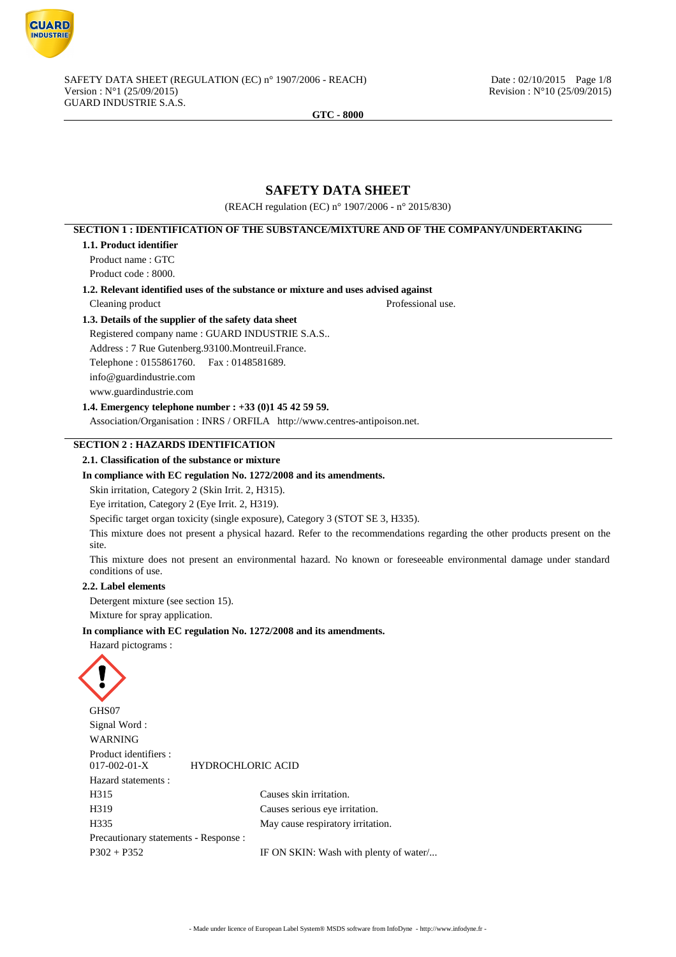

# **SAFETY DATA SHEET**

(REACH regulation (EC) n° 1907/2006 - n° 2015/830)

# **SECTION 1 : IDENTIFICATION OF THE SUBSTANCE/MIXTURE AND OF THE COMPANY/UNDERTAKING 1.1. Product identifier** Product name : GTC Product code : 8000. **1.2. Relevant identified uses of the substance or mixture and uses advised against** Cleaning product Professional use. **1.3. Details of the supplier of the safety data sheet** Registered company name : GUARD INDUSTRIE S.A.S.. Address : 7 Rue Gutenberg.93100.Montreuil.France. Telephone : 0155861760. Fax : 0148581689. info@guardindustrie.com www.guardindustrie.com **1.4. Emergency telephone number : +33 (0)1 45 42 59 59.** Association/Organisation : INRS / ORFILA http://www.centres-antipoison.net. **SECTION 2 : HAZARDS IDENTIFICATION 2.1. Classification of the substance or mixture In compliance with EC regulation No. 1272/2008 and its amendments.** Skin irritation, Category 2 (Skin Irrit. 2, H315). Eye irritation, Category 2 (Eye Irrit. 2, H319). Specific target organ toxicity (single exposure), Category 3 (STOT SE 3, H335). This mixture does not present a physical hazard. Refer to the recommendations regarding the other products present on the site. This mixture does not present an environmental hazard. No known or foreseeable environmental damage under standard conditions of use. **2.2. Label elements** Detergent mixture (see section 15). Mixture for spray application. **In compliance with EC regulation No. 1272/2008 and its amendments.** Hazard pictograms : GHS07 Signal Word : WARNING Product identifiers :<br>017-002-01-X 017-002-01-X HYDROCHLORIC ACID Hazard statements : H315 Causes skin irritation. H319 Causes serious eye irritation. H335 May cause respiratory irritation. Precautionary statements - Response : P302 + P352 IF ON SKIN: Wash with plenty of water...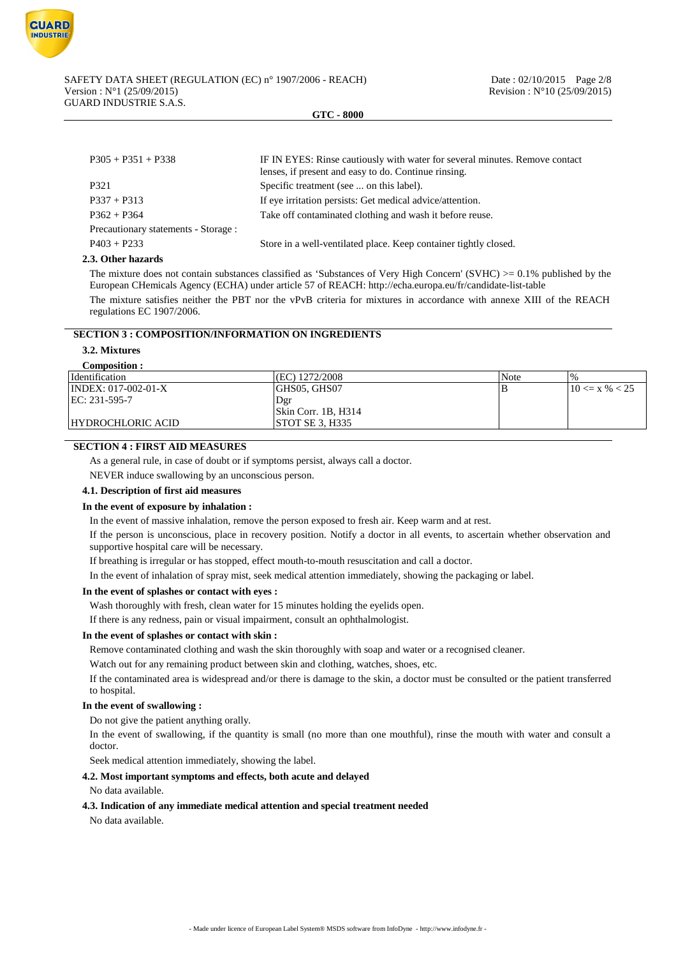

| $P305 + P351 + P338$                 | IF IN EYES: Rinse cautiously with water for several minutes. Remove contact<br>lenses, if present and easy to do. Continue rinsing. |
|--------------------------------------|-------------------------------------------------------------------------------------------------------------------------------------|
| P321                                 | Specific treatment (see  on this label).                                                                                            |
| $P337 + P313$                        | If eye irritation persists: Get medical advice/attention.                                                                           |
| $P362 + P364$                        | Take off contaminated clothing and wash it before reuse.                                                                            |
| Precautionary statements - Storage : |                                                                                                                                     |
| $P403 + P233$                        | Store in a well-ventilated place. Keep container tightly closed.                                                                    |

#### **2.3. Other hazards**

The mixture does not contain substances classified as 'Substances of Very High Concern' (SVHC)  $>0.1\%$  published by the European CHemicals Agency (ECHA) under article 57 of REACH: http://echa.europa.eu/fr/candidate-list-table

The mixture satisfies neither the PBT nor the vPvB criteria for mixtures in accordance with annexe XIII of the REACH regulations EC 1907/2006.

## **SECTION 3 : COMPOSITION/INFORMATION ON INGREDIENTS**

## **3.2. Mixtures**

| Composition :          |                             |      |                    |
|------------------------|-----------------------------|------|--------------------|
| Identification         | (EC) 1272/2008              | Note | $\frac{10}{6}$     |
| $ INDEX: 017-002-01-X$ | GHS05, GHS07                | В    | $10 \le x \% < 25$ |
| EC: 231-595-7          | Dgr                         |      |                    |
|                        | $\vert$ Skin Corr. 1B, H314 |      |                    |
| HYDROCHLORIC ACID      | STOT SE 3, H335             |      |                    |

## **SECTION 4 : FIRST AID MEASURES**

As a general rule, in case of doubt or if symptoms persist, always call a doctor.

NEVER induce swallowing by an unconscious person.

## **4.1. Description of first aid measures**

#### **In the event of exposure by inhalation :**

In the event of massive inhalation, remove the person exposed to fresh air. Keep warm and at rest.

If the person is unconscious, place in recovery position. Notify a doctor in all events, to ascertain whether observation and supportive hospital care will be necessary.

If breathing is irregular or has stopped, effect mouth-to-mouth resuscitation and call a doctor.

In the event of inhalation of spray mist, seek medical attention immediately, showing the packaging or label.

#### **In the event of splashes or contact with eyes :**

Wash thoroughly with fresh, clean water for 15 minutes holding the eyelids open.

If there is any redness, pain or visual impairment, consult an ophthalmologist.

## **In the event of splashes or contact with skin :**

Remove contaminated clothing and wash the skin thoroughly with soap and water or a recognised cleaner.

Watch out for any remaining product between skin and clothing, watches, shoes, etc.

If the contaminated area is widespread and/or there is damage to the skin, a doctor must be consulted or the patient transferred to hospital.

## **In the event of swallowing :**

Do not give the patient anything orally.

In the event of swallowing, if the quantity is small (no more than one mouthful), rinse the mouth with water and consult a doctor.

Seek medical attention immediately, showing the label.

## **4.2. Most important symptoms and effects, both acute and delayed**

#### No data available.

#### **4.3. Indication of any immediate medical attention and special treatment needed**

No data available.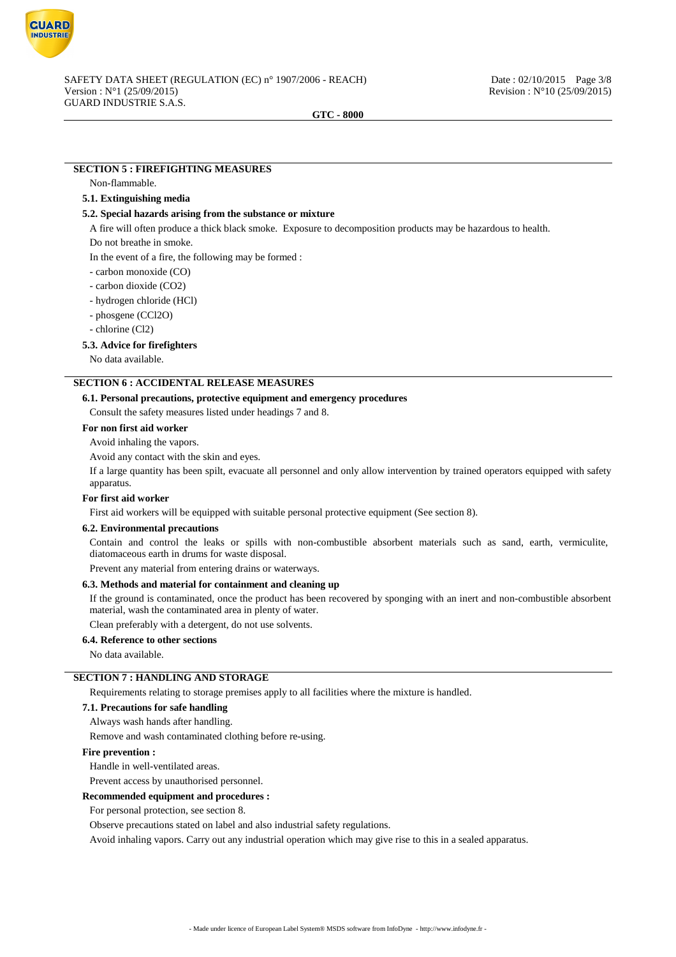

## **SECTION 5 : FIREFIGHTING MEASURES**

#### Non-flammable.

#### **5.1. Extinguishing media**

#### **5.2. Special hazards arising from the substance or mixture**

A fire will often produce a thick black smoke. Exposure to decomposition products may be hazardous to health.

Do not breathe in smoke.

In the event of a fire, the following may be formed :

- carbon monoxide (CO)
- carbon dioxide (CO2)
- hydrogen chloride (HCl)
- phosgene (CCl2O)
- chlorine (Cl2)

#### **5.3. Advice for firefighters**

No data available.

## **SECTION 6 : ACCIDENTAL RELEASE MEASURES**

#### **6.1. Personal precautions, protective equipment and emergency procedures**

Consult the safety measures listed under headings 7 and 8.

### **For non first aid worker**

Avoid inhaling the vapors.

Avoid any contact with the skin and eyes.

If a large quantity has been spilt, evacuate all personnel and only allow intervention by trained operators equipped with safety apparatus.

## **For first aid worker**

First aid workers will be equipped with suitable personal protective equipment (See section 8).

#### **6.2. Environmental precautions**

Contain and control the leaks or spills with non-combustible absorbent materials such as sand, earth, vermiculite, diatomaceous earth in drums for waste disposal.

Prevent any material from entering drains or waterways.

### **6.3. Methods and material for containment and cleaning up**

If the ground is contaminated, once the product has been recovered by sponging with an inert and non-combustible absorbent material, wash the contaminated area in plenty of water.

Clean preferably with a detergent, do not use solvents.

## **6.4. Reference to other sections**

No data available.

## **SECTION 7 : HANDLING AND STORAGE**

Requirements relating to storage premises apply to all facilities where the mixture is handled.

#### **7.1. Precautions for safe handling**

Always wash hands after handling.

Remove and wash contaminated clothing before re-using.

#### **Fire prevention :**

Handle in well-ventilated areas.

Prevent access by unauthorised personnel.

#### **Recommended equipment and procedures :**

For personal protection, see section 8.

Observe precautions stated on label and also industrial safety regulations.

Avoid inhaling vapors. Carry out any industrial operation which may give rise to this in a sealed apparatus.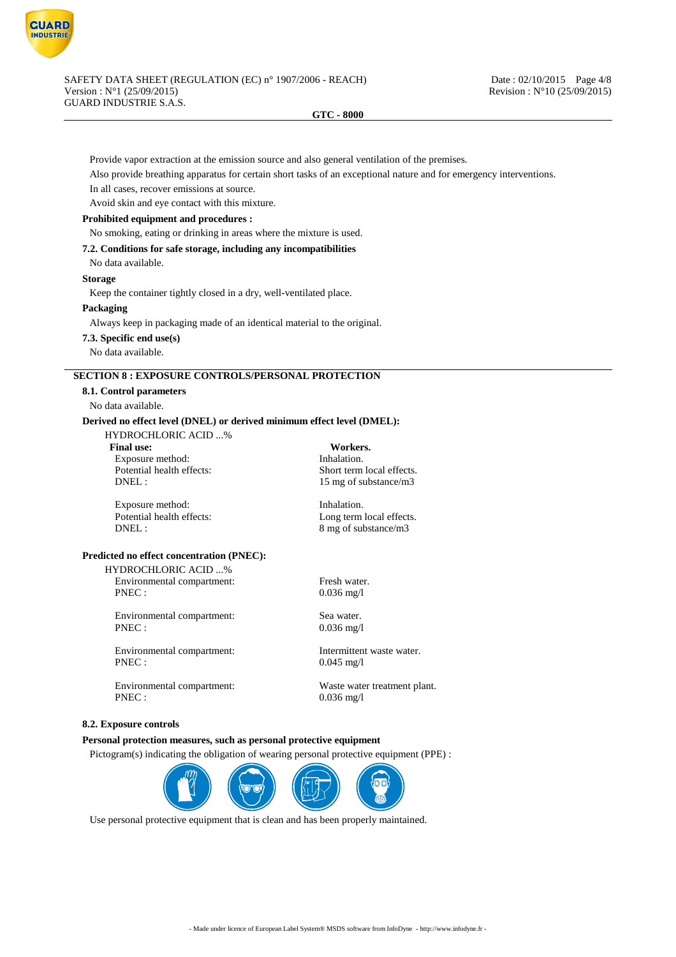

Provide vapor extraction at the emission source and also general ventilation of the premises.

Also provide breathing apparatus for certain short tasks of an exceptional nature and for emergency interventions.

In all cases, recover emissions at source.

Avoid skin and eye contact with this mixture.

### **Prohibited equipment and procedures :**

No smoking, eating or drinking in areas where the mixture is used.

#### **7.2. Conditions for safe storage, including any incompatibilities**

No data available.

## **Storage**

Keep the container tightly closed in a dry, well-ventilated place.

**Packaging**

Always keep in packaging made of an identical material to the original.

**7.3. Specific end use(s)**

#### No data available.

## **SECTION 8 : EXPOSURE CONTROLS/PERSONAL PROTECTION**

## **8.1. Control parameters**

No data available.

## **Derived no effect level (DNEL) or derived minimum effect level (DMEL):**

HYDROCHLORIC ACID ...%

**Final use: Workers.** Exposure method: Inhalation.

Potential health effects:<br>
DNEL:<br>  $15 \text{ mo of substance/m}^3$ 15 mg of substance/m3

Exposure method: Inhalation.<br>
Potential health effects: Long term<br>
Long term DNEL : 8 mg of substance/m3

Long term local effects.

## **Predicted no effect concentration (PNEC):**

HYDROCHLORIC ACID ...% Environmental compartment: Fresh water.

PNEC : 0.036 mg/l

Environmental compartment: Sea water. PNEC : 0.036 mg/l

Environmental compartment: Intermittent waste water. PNEC : 0.045 mg/l

Environmental compartment: Waste water treatment plant. PNEC : 0.036 mg/l

#### **8.2. Exposure controls**

## **Personal protection measures, such as personal protective equipment**

Pictogram(s) indicating the obligation of wearing personal protective equipment (PPE) :



Use personal protective equipment that is clean and has been properly maintained.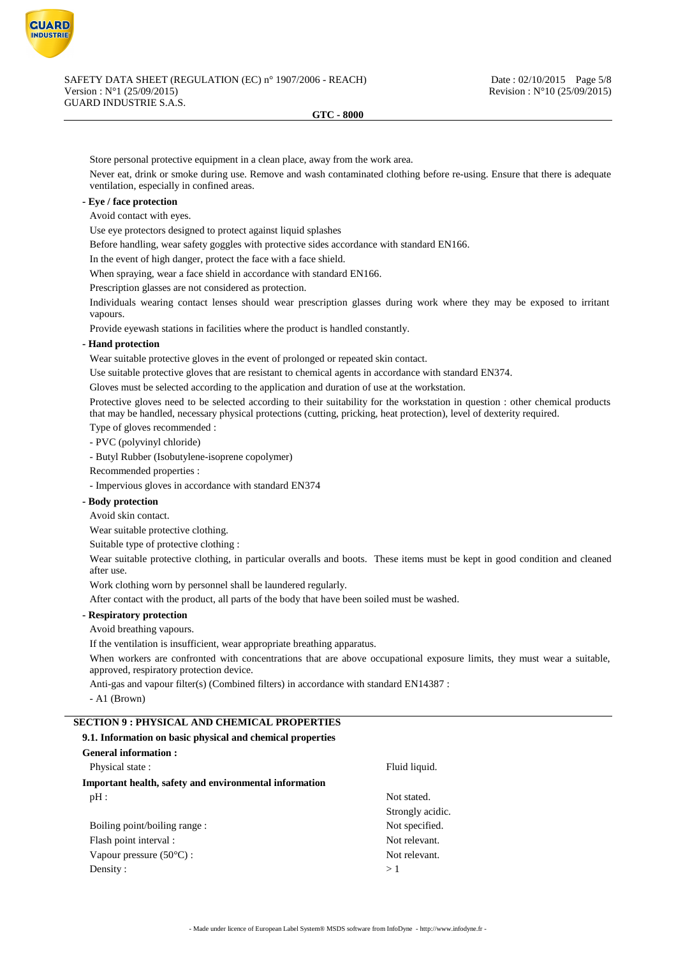

Store personal protective equipment in a clean place, away from the work area.

Never eat, drink or smoke during use. Remove and wash contaminated clothing before re-using. Ensure that there is adequate ventilation, especially in confined areas.

## **- Eye / face protection**

Avoid contact with eyes.

Use eye protectors designed to protect against liquid splashes

Before handling, wear safety goggles with protective sides accordance with standard EN166.

In the event of high danger, protect the face with a face shield.

When spraying, wear a face shield in accordance with standard EN166.

Prescription glasses are not considered as protection.

Individuals wearing contact lenses should wear prescription glasses during work where they may be exposed to irritant vapours.

Provide eyewash stations in facilities where the product is handled constantly.

## **- Hand protection**

Wear suitable protective gloves in the event of prolonged or repeated skin contact.

Use suitable protective gloves that are resistant to chemical agents in accordance with standard EN374.

Gloves must be selected according to the application and duration of use at the workstation.

Protective gloves need to be selected according to their suitability for the workstation in question : other chemical products that may be handled, necessary physical protections (cutting, pricking, heat protection), level of dexterity required.

Type of gloves recommended :

- PVC (polyvinyl chloride)

- Butyl Rubber (Isobutylene-isoprene copolymer)

Recommended properties :

- Impervious gloves in accordance with standard EN374

#### **- Body protection**

Avoid skin contact.

Wear suitable protective clothing.

Suitable type of protective clothing :

Wear suitable protective clothing, in particular overalls and boots. These items must be kept in good condition and cleaned after use.

Work clothing worn by personnel shall be laundered regularly.

After contact with the product, all parts of the body that have been soiled must be washed.

## **- Respiratory protection**

Avoid breathing vapours.

If the ventilation is insufficient, wear appropriate breathing apparatus.

When workers are confronted with concentrations that are above occupational exposure limits, they must wear a suitable, approved, respiratory protection device.

Anti-gas and vapour filter(s) (Combined filters) in accordance with standard EN14387 :

- A1 (Brown)

## **SECTION 9 : PHYSICAL AND CHEMICAL PROPERTIES**

## **9.1. Information on basic physical and chemical properties**

| General information:                                   |                  |
|--------------------------------------------------------|------------------|
| Physical state:                                        | Fluid liquid.    |
| Important health, safety and environmental information |                  |
| pH:                                                    | Not stated.      |
|                                                        | Strongly acidic. |
| Boiling point/boiling range:                           | Not specified.   |
| Flash point interval :                                 | Not relevant.    |
| Vapour pressure $(50^{\circ}C)$ :                      | Not relevant.    |
| Density:                                               | >1               |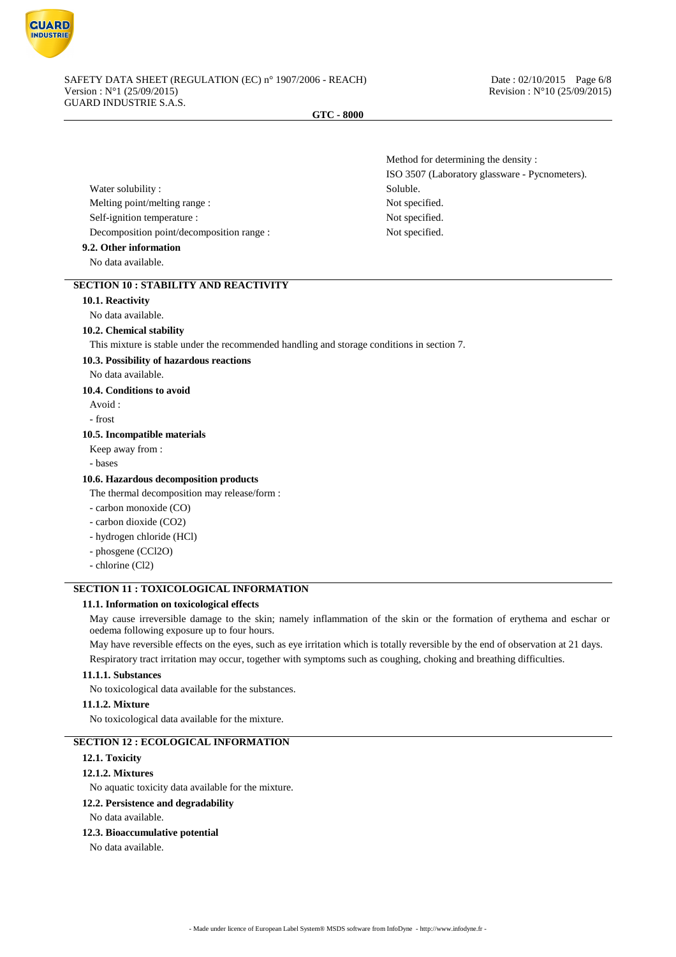

Water solubility : Soluble. Melting point/melting range : Not specified. Self-ignition temperature : Not specified. Decomposition point/decomposition range : Not specified.

## **9.2. Other information**

No data available.

## **SECTION 10 : STABILITY AND REACTIVITY**

### **10.1. Reactivity**

No data available.

## **10.2. Chemical stability**

This mixture is stable under the recommended handling and storage conditions in section 7.

#### **10.3. Possibility of hazardous reactions**

#### No data available.

**10.4. Conditions to avoid**

Avoid :

- frost

#### **10.5. Incompatible materials**

Keep away from :

- bases

## **10.6. Hazardous decomposition products**

The thermal decomposition may release/form :

- carbon monoxide (CO)
- carbon dioxide (CO2)
- hydrogen chloride (HCl)
- phosgene (CCl2O)
- chlorine (Cl2)

## **SECTION 11 : TOXICOLOGICAL INFORMATION**

## **11.1. Information on toxicological effects**

May cause irreversible damage to the skin; namely inflammation of the skin or the formation of erythema and eschar or oedema following exposure up to four hours.

May have reversible effects on the eyes, such as eye irritation which is totally reversible by the end of observation at 21 days. Respiratory tract irritation may occur, together with symptoms such as coughing, choking and breathing difficulties.

#### **11.1.1. Substances**

No toxicological data available for the substances.

#### **11.1.2. Mixture**

No toxicological data available for the mixture.

## **SECTION 12 : ECOLOGICAL INFORMATION**

#### **12.1. Toxicity**

#### **12.1.2. Mixtures**

No aquatic toxicity data available for the mixture.

#### **12.2. Persistence and degradability**

No data available.

## **12.3. Bioaccumulative potential**

No data available.

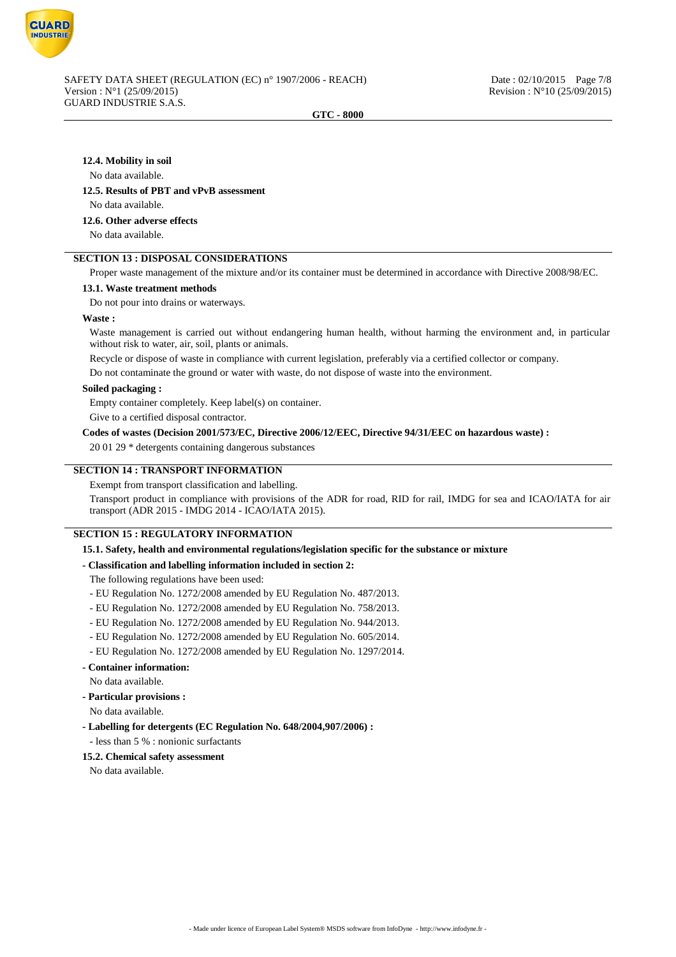

## **12.4. Mobility in soil**

## No data available.

#### **12.5. Results of PBT and vPvB assessment**

No data available.

## **12.6. Other adverse effects**

No data available.

## **SECTION 13 : DISPOSAL CONSIDERATIONS**

Proper waste management of the mixture and/or its container must be determined in accordance with Directive 2008/98/EC.

#### **13.1. Waste treatment methods**

Do not pour into drains or waterways.

### **Waste :**

Waste management is carried out without endangering human health, without harming the environment and, in particular without risk to water, air, soil, plants or animals.

Recycle or dispose of waste in compliance with current legislation, preferably via a certified collector or company.

Do not contaminate the ground or water with waste, do not dispose of waste into the environment.

#### **Soiled packaging :**

Empty container completely. Keep label(s) on container.

Give to a certified disposal contractor.

## **Codes of wastes (Decision 2001/573/EC, Directive 2006/12/EEC, Directive 94/31/EEC on hazardous waste) :**

20 01 29 \* detergents containing dangerous substances

## **SECTION 14 : TRANSPORT INFORMATION**

Exempt from transport classification and labelling.

Transport product in compliance with provisions of the ADR for road, RID for rail, IMDG for sea and ICAO/IATA for air transport (ADR 2015 - IMDG 2014 - ICAO/IATA 2015).

## **SECTION 15 : REGULATORY INFORMATION**

**15.1. Safety, health and environmental regulations/legislation specific for the substance or mixture**

## **- Classification and labelling information included in section 2:**

The following regulations have been used:

- EU Regulation No. 1272/2008 amended by EU Regulation No. 487/2013.
- EU Regulation No. 1272/2008 amended by EU Regulation No. 758/2013.
- EU Regulation No. 1272/2008 amended by EU Regulation No. 944/2013.
- EU Regulation No. 1272/2008 amended by EU Regulation No. 605/2014.
- EU Regulation No. 1272/2008 amended by EU Regulation No. 1297/2014.
- **Container information:**
- No data available.
- **Particular provisions :**
- No data available.
- **Labelling for detergents (EC Regulation No. 648/2004,907/2006) :**
- less than 5 % : nonionic surfactants

## **15.2. Chemical safety assessment**

No data available.